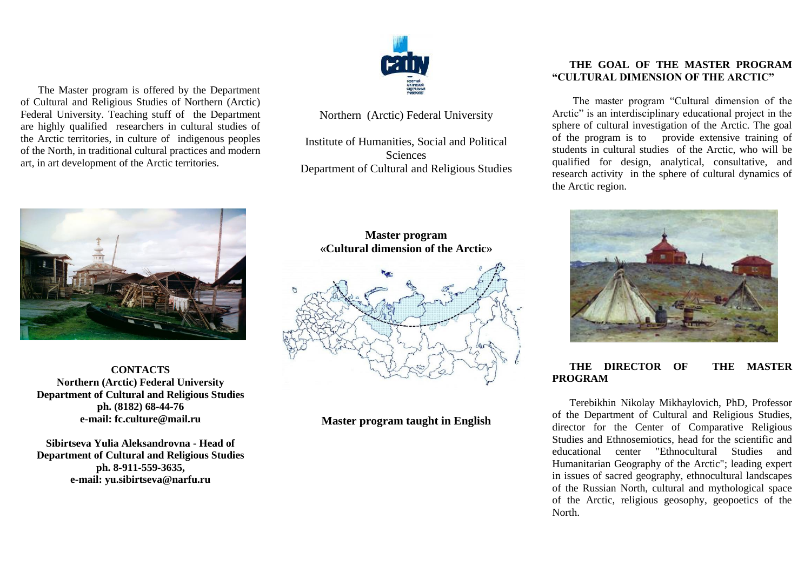

Northern (Arctic) Federal University

Institute of Humanities, Social and Political Sciences Department of Cultural and Religious Studies

The Master program is offered by the Department of Cultural and Religious Studies of Northern (Arctic) Federal University. Teaching stuff of the Department are highly qualified researchers in cultural studies of the Arctic territories, in culture of indigenous peoples of the North, in traditional cultural practices and modern art, in art development of the Arctic territories.



**CONTACTS Northern (Arctic) Federal University Department of Cultural and Religious Studies ph. (8182) 68-44-76 e-mail: f[c.culture@mail.ru](mailto:.culture@mail.ru)**

**Sibirtseva Yulia Aleksandrovna - Head of Department of Cultural and Religious Studies ph. 8-911-559-3635, e-mail[: yu.sibirtseva@narfu.ru](mailto:yu.sibirtseva@narfu.ru)**

# **Master program «Cultural dimension of the Arctic»**



**Master program taught in English**

## **THE GOAL OF THE MASTER PROGRAM "CULTURAL DIMENSION OF THE ARCTIC"**

The master program "Cultural dimension of the Arctic" is an interdisciplinary educational project in the sphere of cultural investigation of the Arctic. The goal of the program is to provide extensive training of students in cultural studies of the Arctic, who will be qualified for design, analytical, consultative, and research activity in the sphere of cultural dynamics of the Arctic region.



## **THE DIRECTOR OF THE MASTER PROGRAM**

Terebikhin Nikolay Mikhaylovich, PhD, Professor of the Department of Cultural and Religious Studies, director for the Center of Comparative Religious Studies and Ethnosemiotics, head for the scientific and educational center "Ethnocultural Studies and Humanitarian Geography of the Arctic"; leading expert in issues of sacred geography, ethnocultural landscapes of the Russian North, cultural and mythological space of the Arctic, religious geosophy, geopoetics of the North.